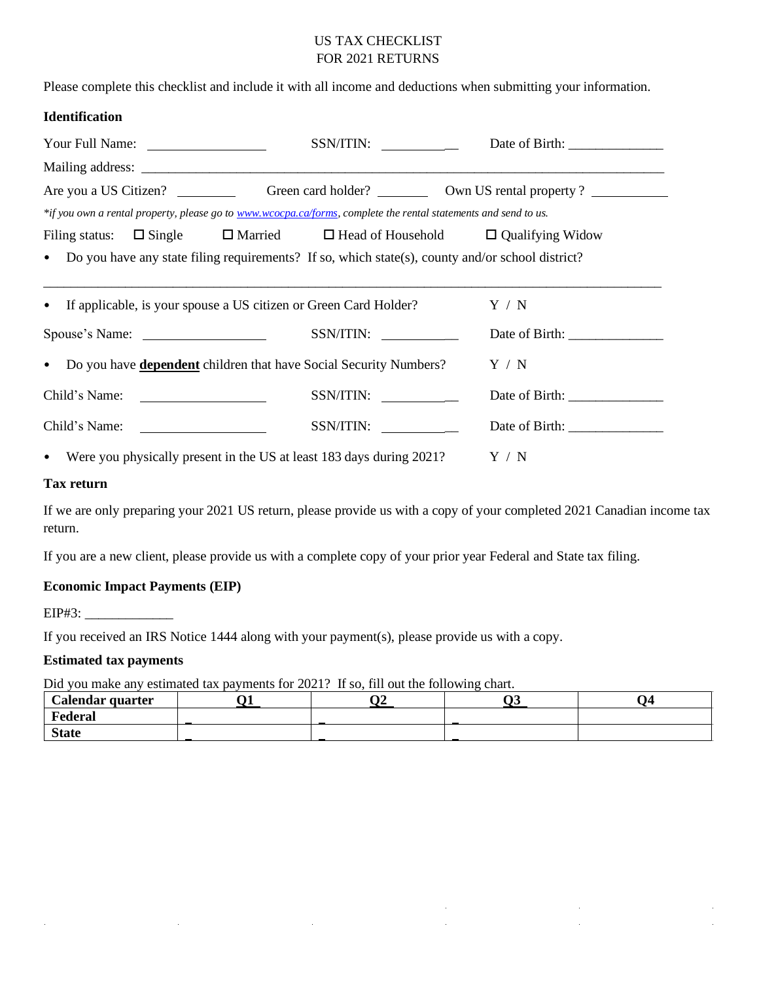# US TAX CHECKLIST FOR 2021 RETURNS

Please complete this checklist and include it with all income and deductions when submitting your information.

#### **Identification**

| Your Full Name:                                                                                                 | SSN/ITIN:                                                                     |  |  |  |  |  |
|-----------------------------------------------------------------------------------------------------------------|-------------------------------------------------------------------------------|--|--|--|--|--|
|                                                                                                                 |                                                                               |  |  |  |  |  |
|                                                                                                                 |                                                                               |  |  |  |  |  |
| *if you own a rental property, please go to www.wcocpa.ca/forms, complete the rental statements and send to us. |                                                                               |  |  |  |  |  |
| Filing status:                                                                                                  | $\Box$ Single $\Box$ Married $\Box$ Head of Household $\Box$ Qualifying Widow |  |  |  |  |  |
| • Do you have any state filing requirements? If so, which state(s), county and/or school district?              |                                                                               |  |  |  |  |  |
|                                                                                                                 |                                                                               |  |  |  |  |  |
| If applicable, is your spouse a US citizen or Green Card Holder?<br>$\bullet$                                   | Y / N                                                                         |  |  |  |  |  |
| Spouse's Name:                                                                                                  | SSN/ITIN:                                                                     |  |  |  |  |  |
| Do you have <b>dependent</b> children that have Social Security Numbers?<br>$\bullet$                           | Y / N                                                                         |  |  |  |  |  |
|                                                                                                                 | SSN/ITIN:                                                                     |  |  |  |  |  |
| Child's Name:                                                                                                   | SSN/ITIN:                                                                     |  |  |  |  |  |
| Were you physically present in the US at least 183 days during 2021?<br>$\bullet$                               | $\rm Y$ / $\rm N$                                                             |  |  |  |  |  |

#### **Tax return**

If we are only preparing your 2021 US return, please provide us with a copy of your completed 2021 Canadian income tax return.

If you are a new client, please provide us with a complete copy of your prior year Federal and State tax filing.

#### **Economic Impact Payments (EIP)**

i.

 $EIP#3$ :

If you received an IRS Notice 1444 along with your payment(s), please provide us with a copy.

 $\hat{\mathbf{r}}$ 

#### **Estimated tax payments**

Did you make any estimated tax payments for 2021? If so, fill out the following chart.

| Calendar quarter |  | ⌒⌒ | - 14 |
|------------------|--|----|------|
| Federal          |  |    |      |
| <b>State</b>     |  |    |      |

 $\hat{\boldsymbol{\gamma}}$  $\hat{\mathcal{L}}$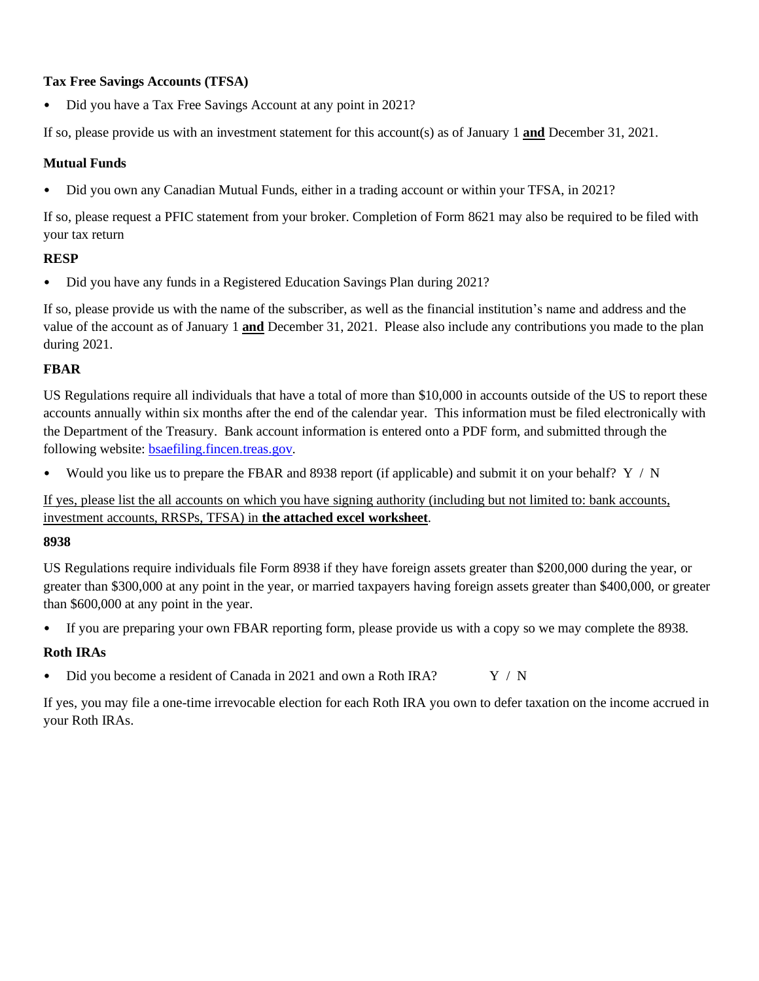## **Tax Free Savings Accounts (TFSA)**

• Did you have a Tax Free Savings Account at any point in 2021?

If so, please provide us with an investment statement for this account(s) as of January 1 **and** December 31, 2021.

## **Mutual Funds**

• Did you own any Canadian Mutual Funds, either in a trading account or within your TFSA, in 2021?

If so, please request a PFIC statement from your broker. Completion of Form 8621 may also be required to be filed with your tax return

## **RESP**

• Did you have any funds in a Registered Education Savings Plan during 2021?

If so, please provide us with the name of the subscriber, as well as the financial institution's name and address and the value of the account as of January 1 **and** December 31, 2021. Please also include any contributions you made to the plan during 2021.

## **FBAR**

US Regulations require all individuals that have a total of more than \$10,000 in accounts outside of the US to report these accounts annually within six months after the end of the calendar year. This information must be filed electronically with the Department of the Treasury. Bank account information is entered onto a PDF form, and submitted through the following website: [bsaefiling.fincen.treas.gov.](http://www.bsaefiling.fincen.treas.gov/) 

Would you like us to prepare the FBAR and 8938 report (if applicable) and submit it on your behalf?  $Y / N$ 

If yes, please list the all accounts on which you have signing authority (including but not limited to: bank accounts, investment accounts, RRSPs, TFSA) in **the attached excel worksheet**.

## **8938**

US Regulations require individuals file Form 8938 if they have foreign assets greater than \$200,000 during the year, or greater than \$300,000 at any point in the year, or married taxpayers having foreign assets greater than \$400,000, or greater than \$600,000 at any point in the year.

• If you are preparing your own FBAR reporting form, please provide us with a copy so we may complete the 8938.

# **Roth IRAs**

• Did you become a resident of Canada in 2021 and own a Roth IRA?  $Y / N$ 

If yes, you may file a one-time irrevocable election for each Roth IRA you own to defer taxation on the income accrued in your Roth IRAs.